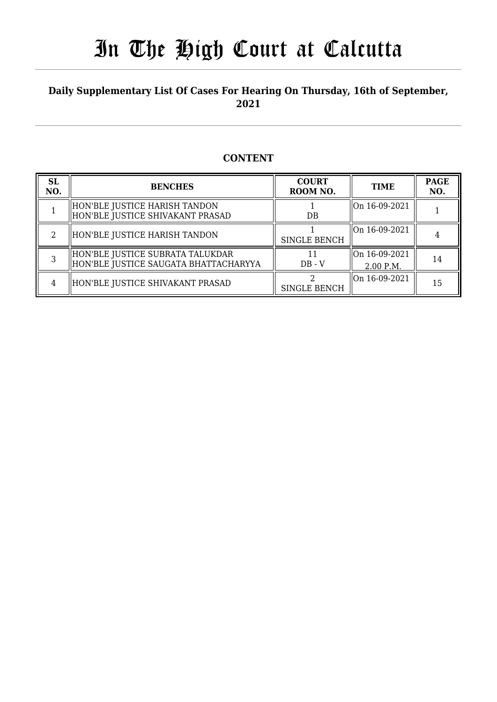### **Daily Supplementary List Of Cases For Hearing On Thursday, 16th of September, 2021**

### **CONTENT**

| <b>SL</b><br>NO. | <b>BENCHES</b>                                                             | <b>COURT</b><br>ROOM NO. | <b>TIME</b>                | <b>PAGE</b><br>NO. |
|------------------|----------------------------------------------------------------------------|--------------------------|----------------------------|--------------------|
|                  | HON'BLE JUSTICE HARISH TANDON<br>HON'BLE JUSTICE SHIVAKANT PRASAD          | DB                       | On 16-09-2021              |                    |
|                  | HON'BLE JUSTICE HARISH TANDON                                              | <b>SINGLE BENCH</b>      | On 16-09-2021              |                    |
|                  | HON'BLE JUSTICE SUBRATA TALUKDAR <br>HON'BLE JUSTICE SAUGATA BHATTACHARYYA | $DB - V$                 | On 16-09-2021<br>2.00 P.M. | 14                 |
| 4                | HON'BLE JUSTICE SHIVAKANT PRASAD                                           | <b>SINGLE BENCH</b>      | On 16-09-2021              | 15                 |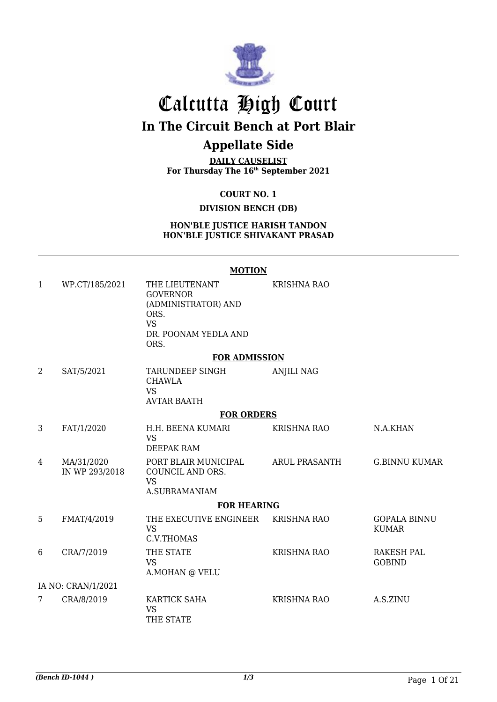

# Calcutta High Court

## **In The Circuit Bench at Port Blair**

### **Appellate Side**

**DAILY CAUSELIST For Thursday The 16th September 2021**

**COURT NO. 1**

### **DIVISION BENCH (DB)**

#### **HON'BLE JUSTICE HARISH TANDON HON'BLE JUSTICE SHIVAKANT PRASAD**

**MOTION**

#### 1 WP.CT/185/2021 THE LIEUTENANT GOVERNOR (ADMINISTRATOR) AND ORS. VS DR. POONAM YEDLA AND ORS. KRISHNA RAO **FOR ADMISSION** CHAWLA ANJILI NAG

2 SAT/5/2021 TARUNDEEP SINGH VS AVTAR BAATH

### **FOR ORDERS**

| 3 | FAT/1/2020                   | H.H. BEENA KUMARI<br>VS<br>DEEPAK RAM                           | KRISHNA RAO        | N.A.KHAN                            |  |  |
|---|------------------------------|-----------------------------------------------------------------|--------------------|-------------------------------------|--|--|
| 4 | MA/31/2020<br>IN WP 293/2018 | PORT BLAIR MUNICIPAL<br>COUNCIL AND ORS.<br>VS<br>A.SUBRAMANIAM | ARUL PRASANTH      | <b>G.BINNU KUMAR</b>                |  |  |
|   |                              | <b>FOR HEARING</b>                                              |                    |                                     |  |  |
| 5 | FMAT/4/2019                  | THE EXECUTIVE ENGINEER<br>VS<br>C.V.THOMAS                      | <b>KRISHNA RAO</b> | <b>GOPALA BINNU</b><br><b>KUMAR</b> |  |  |
| 6 | CRA/7/2019                   | THE STATE<br>VS<br>A.MOHAN @ VELU                               | <b>KRISHNA RAO</b> | RAKESH PAL<br><b>GOBIND</b>         |  |  |
|   | IA NO: CRAN/1/2021           |                                                                 |                    |                                     |  |  |
| 7 | CRA/8/2019                   | KARTICK SAHA<br>VS<br>THE STATE                                 | KRISHNA RAO        | A.S.ZINU                            |  |  |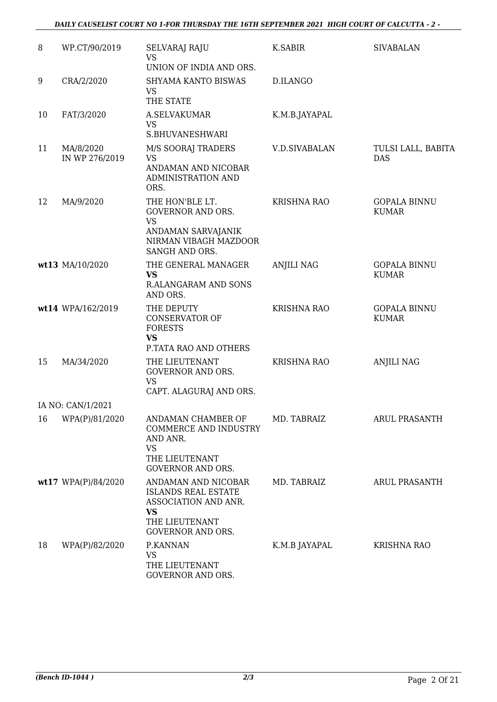### *DAILY CAUSELIST COURT NO 1-FOR THURSDAY THE 16TH SEPTEMBER 2021 HIGH COURT OF CALCUTTA - 2 -*

| 8  | WP.CT/90/2019               | <b>SELVARAJ RAJU</b><br><b>VS</b>                                                                                                    | K.SABIR              | <b>SIVABALAN</b>                    |
|----|-----------------------------|--------------------------------------------------------------------------------------------------------------------------------------|----------------------|-------------------------------------|
|    |                             | UNION OF INDIA AND ORS.                                                                                                              |                      |                                     |
| 9  | CRA/2/2020                  | SHYAMA KANTO BISWAS<br><b>VS</b><br>THE STATE                                                                                        | D.ILANGO             |                                     |
| 10 | FAT/3/2020                  | A.SELVAKUMAR<br><b>VS</b><br>S.BHUVANESHWARI                                                                                         | K.M.B.JAYAPAL        |                                     |
| 11 | MA/8/2020<br>IN WP 276/2019 | M/S SOORAJ TRADERS<br>VS<br>ANDAMAN AND NICOBAR<br>ADMINISTRATION AND<br>ORS.                                                        | <b>V.D.SIVABALAN</b> | TULSI LALL, BABITA<br><b>DAS</b>    |
| 12 | MA/9/2020                   | THE HON'BLE LT.<br><b>GOVERNOR AND ORS.</b><br><b>VS</b><br>ANDAMAN SARVAJANIK<br>NIRMAN VIBAGH MAZDOOR<br>SANGH AND ORS.            | <b>KRISHNA RAO</b>   | <b>GOPALA BINNU</b><br><b>KUMAR</b> |
|    | wt13 MA/10/2020             | THE GENERAL MANAGER<br><b>VS</b><br><b>R.ALANGARAM AND SONS</b><br>AND ORS.                                                          | <b>ANJILI NAG</b>    | <b>GOPALA BINNU</b><br><b>KUMAR</b> |
|    | wt14 WPA/162/2019           | THE DEPUTY<br><b>CONSERVATOR OF</b><br><b>FORESTS</b><br><b>VS</b><br>P.TATA RAO AND OTHERS                                          | <b>KRISHNA RAO</b>   | <b>GOPALA BINNU</b><br><b>KUMAR</b> |
| 15 | MA/34/2020                  | THE LIEUTENANT<br><b>GOVERNOR AND ORS.</b><br><b>VS</b><br>CAPT. ALAGURAJ AND ORS.                                                   | <b>KRISHNA RAO</b>   | <b>ANJILI NAG</b>                   |
|    | IA NO: CAN/1/2021           |                                                                                                                                      |                      |                                     |
| 16 | WPA(P)/81/2020              | ANDAMAN CHAMBER OF<br><b>COMMERCE AND INDUSTRY</b><br>AND ANR.<br><b>VS</b><br>THE LIEUTENANT<br><b>GOVERNOR AND ORS.</b>            | MD. TABRAIZ          | <b>ARUL PRASANTH</b>                |
|    | wt17 WPA(P)/84/2020         | ANDAMAN AND NICOBAR<br><b>ISLANDS REAL ESTATE</b><br>ASSOCIATION AND ANR.<br><b>VS</b><br>THE LIEUTENANT<br><b>GOVERNOR AND ORS.</b> | MD. TABRAIZ          | <b>ARUL PRASANTH</b>                |
| 18 | WPA(P)/82/2020              | P.KANNAN<br><b>VS</b><br>THE LIEUTENANT<br>GOVERNOR AND ORS.                                                                         | K.M.B JAYAPAL        | <b>KRISHNA RAO</b>                  |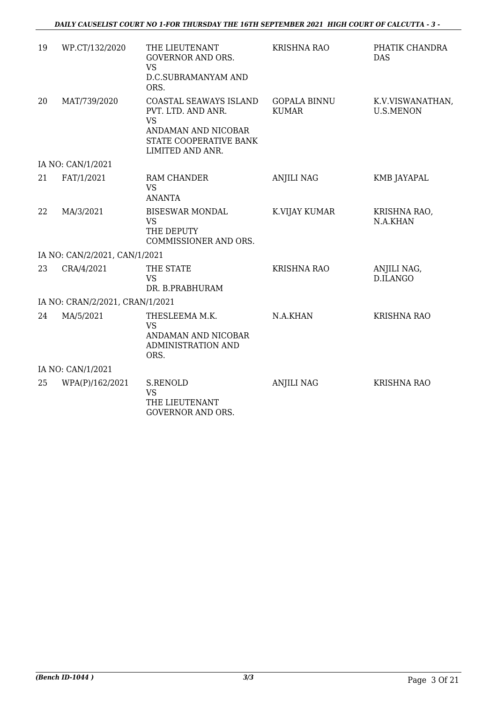| 19 | WP.CT/132/2020                  | THE LIEUTENANT<br><b>GOVERNOR AND ORS.</b><br><b>VS</b><br>D.C.SUBRAMANYAM AND<br>ORS.                                         | <b>KRISHNA RAO</b>                  | PHATIK CHANDRA<br><b>DAS</b>         |
|----|---------------------------------|--------------------------------------------------------------------------------------------------------------------------------|-------------------------------------|--------------------------------------|
| 20 | MAT/739/2020                    | COASTAL SEAWAYS ISLAND<br>PVT. LTD. AND ANR.<br><b>VS</b><br>ANDAMAN AND NICOBAR<br>STATE COOPERATIVE BANK<br>LIMITED AND ANR. | <b>GOPALA BINNU</b><br><b>KUMAR</b> | K.V.VISWANATHAN,<br><b>U.S.MENON</b> |
|    | IA NO: CAN/1/2021               |                                                                                                                                |                                     |                                      |
| 21 | FAT/1/2021                      | RAM CHANDER<br><b>VS</b><br><b>ANANTA</b>                                                                                      | <b>ANJILI NAG</b>                   | KMB JAYAPAL                          |
| 22 | MA/3/2021                       | <b>BISESWAR MONDAL</b><br><b>VS</b><br>THE DEPUTY<br>COMMISSIONER AND ORS.                                                     | K.VIJAY KUMAR                       | KRISHNA RAO,<br>N.A.KHAN             |
|    | IA NO: CAN/2/2021, CAN/1/2021   |                                                                                                                                |                                     |                                      |
| 23 | CRA/4/2021                      | THE STATE<br><b>VS</b><br>DR. B.PRABHURAM                                                                                      | <b>KRISHNA RAO</b>                  | ANJILI NAG,<br>D.ILANGO              |
|    | IA NO: CRAN/2/2021, CRAN/1/2021 |                                                                                                                                |                                     |                                      |
| 24 | MA/5/2021                       | THESLEEMA M.K.<br><b>VS</b><br>ANDAMAN AND NICOBAR<br><b>ADMINISTRATION AND</b><br>ORS.                                        | N.A.KHAN                            | <b>KRISHNA RAO</b>                   |
|    | IA NO: CAN/1/2021               |                                                                                                                                |                                     |                                      |
| 25 | WPA(P)/162/2021                 | S.RENOLD<br><b>VS</b><br>THE LIEUTENANT<br><b>GOVERNOR AND ORS.</b>                                                            | <b>ANJILI NAG</b>                   | <b>KRISHNA RAO</b>                   |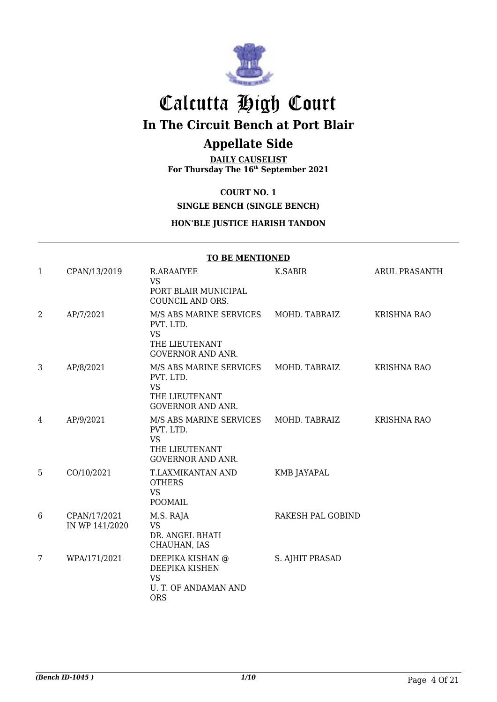

# Calcutta High Court

**In The Circuit Bench at Port Blair**

### **Appellate Side**

**DAILY CAUSELIST For Thursday The 16th September 2021**

**COURT NO. 1**

**SINGLE BENCH (SINGLE BENCH)**

### **HON'BLE JUSTICE HARISH TANDON**

|   | <b>TO BE MENTIONED</b>         |                                                                                                               |                    |                      |  |  |
|---|--------------------------------|---------------------------------------------------------------------------------------------------------------|--------------------|----------------------|--|--|
| 1 | CPAN/13/2019                   | R.ARAAIYEE<br><b>VS</b><br>PORT BLAIR MUNICIPAL<br>COUNCIL AND ORS.                                           | K.SABIR            | <b>ARUL PRASANTH</b> |  |  |
| 2 | AP/7/2021                      | M/S ABS MARINE SERVICES<br>PVT. LTD.<br><b>VS</b><br>THE LIEUTENANT<br><b>GOVERNOR AND ANR.</b>               | MOHD. TABRAIZ      | <b>KRISHNA RAO</b>   |  |  |
| 3 | AP/8/2021                      | M/S ABS MARINE SERVICES MOHD. TABRAIZ<br>PVT. LTD.<br><b>VS</b><br>THE LIEUTENANT<br><b>GOVERNOR AND ANR.</b> |                    | <b>KRISHNA RAO</b>   |  |  |
| 4 | AP/9/2021                      | M/S ABS MARINE SERVICES MOHD. TABRAIZ<br>PVT. LTD.<br><b>VS</b><br>THE LIEUTENANT<br><b>GOVERNOR AND ANR.</b> |                    | KRISHNA RAO          |  |  |
| 5 | CO/10/2021                     | T.LAXMIKANTAN AND<br><b>OTHERS</b><br><b>VS</b><br><b>POOMAIL</b>                                             | <b>KMB JAYAPAL</b> |                      |  |  |
| 6 | CPAN/17/2021<br>IN WP 141/2020 | M.S. RAJA<br><b>VS</b><br>DR. ANGEL BHATI<br>CHAUHAN, IAS                                                     | RAKESH PAL GOBIND  |                      |  |  |
| 7 | WPA/171/2021                   | DEEPIKA KISHAN @<br>DEEPIKA KISHEN<br><b>VS</b><br>U. T. OF ANDAMAN AND<br><b>ORS</b>                         | S. AJHIT PRASAD    |                      |  |  |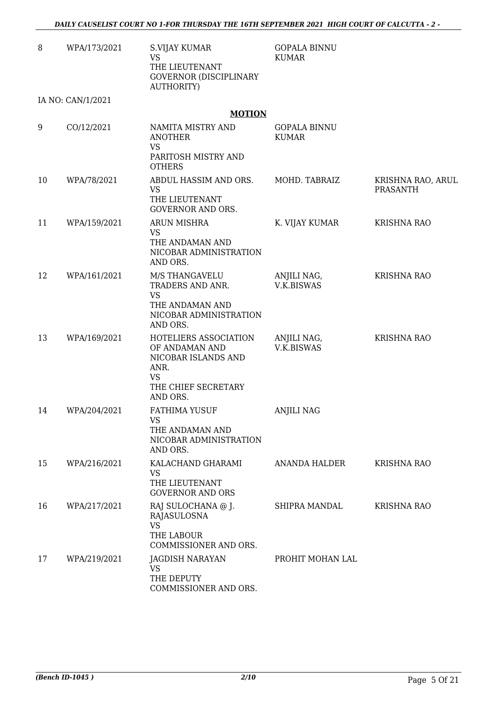| 8  | WPA/173/2021      | S.VIJAY KUMAR<br><b>VS</b><br>THE LIEUTENANT<br><b>GOVERNOR (DISCIPLINARY</b><br><b>AUTHORITY)</b>              | <b>GOPALA BINNU</b><br><b>KUMAR</b> |                                      |
|----|-------------------|-----------------------------------------------------------------------------------------------------------------|-------------------------------------|--------------------------------------|
|    | IA NO: CAN/1/2021 |                                                                                                                 |                                     |                                      |
|    |                   | <b>MOTION</b>                                                                                                   |                                     |                                      |
| 9  | CO/12/2021        | NAMITA MISTRY AND<br><b>ANOTHER</b><br><b>VS</b><br>PARITOSH MISTRY AND<br><b>OTHERS</b>                        | <b>GOPALA BINNU</b><br><b>KUMAR</b> |                                      |
| 10 | WPA/78/2021       | ABDUL HASSIM AND ORS.<br><b>VS</b><br>THE LIEUTENANT<br><b>GOVERNOR AND ORS.</b>                                | MOHD. TABRAIZ                       | KRISHNA RAO, ARUL<br><b>PRASANTH</b> |
| 11 | WPA/159/2021      | <b>ARUN MISHRA</b><br><b>VS</b><br>THE ANDAMAN AND<br>NICOBAR ADMINISTRATION<br>AND ORS.                        | K. VIJAY KUMAR                      | <b>KRISHNA RAO</b>                   |
| 12 | WPA/161/2021      | M/S THANGAVELU<br>TRADERS AND ANR.<br><b>VS</b><br>THE ANDAMAN AND<br>NICOBAR ADMINISTRATION<br>AND ORS.        | ANJILI NAG,<br>V.K.BISWAS           | <b>KRISHNA RAO</b>                   |
| 13 | WPA/169/2021      | HOTELIERS ASSOCIATION<br>OF ANDAMAN AND<br>NICOBAR ISLANDS AND<br>ANR.<br>VS<br>THE CHIEF SECRETARY<br>AND ORS. | ANJILI NAG,<br>V.K.BISWAS           | <b>KRISHNA RAO</b>                   |
| 14 | WPA/204/2021      | FATHIMA YUSUF<br><b>VS</b><br>THE ANDAMAN AND<br>NICOBAR ADMINISTRATION<br>AND ORS.                             | <b>ANJILI NAG</b>                   |                                      |
| 15 | WPA/216/2021      | KALACHAND GHARAMI<br><b>VS</b><br>THE LIEUTENANT<br><b>GOVERNOR AND ORS</b>                                     | ANANDA HALDER                       | <b>KRISHNA RAO</b>                   |
| 16 | WPA/217/2021      | RAJ SULOCHANA @ J.<br>RAJASULOSNA<br><b>VS</b><br>THE LABOUR<br>COMMISSIONER AND ORS.                           | SHIPRA MANDAL                       | KRISHNA RAO                          |
| 17 | WPA/219/2021      | JAGDISH NARAYAN<br><b>VS</b><br>THE DEPUTY<br>COMMISSIONER AND ORS.                                             | PROHIT MOHAN LAL                    |                                      |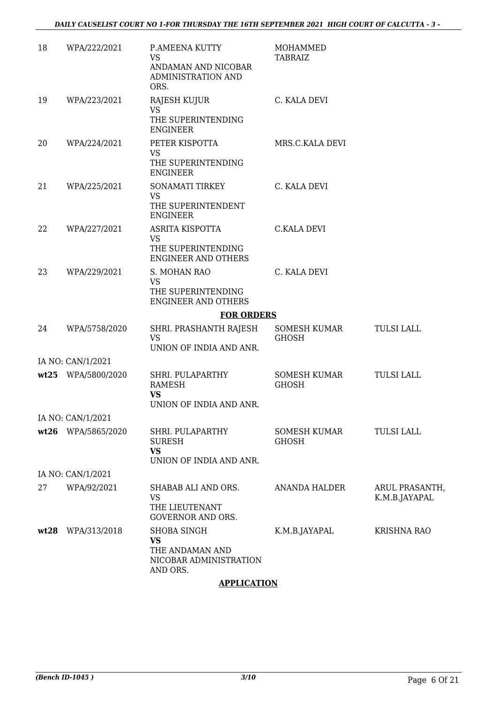| 18   | WPA/222/2021       | P.AMEENA KUTTY<br><b>VS</b><br>ANDAMAN AND NICOBAR<br>ADMINISTRATION AND<br>ORS.  | <b>MOHAMMED</b><br>TABRAIZ          |                                 |
|------|--------------------|-----------------------------------------------------------------------------------|-------------------------------------|---------------------------------|
| 19   | WPA/223/2021       | RAJESH KUJUR<br><b>VS</b><br>THE SUPERINTENDING<br><b>ENGINEER</b>                | C. KALA DEVI                        |                                 |
| 20   | WPA/224/2021       | PETER KISPOTTA<br><b>VS</b><br>THE SUPERINTENDING<br><b>ENGINEER</b>              | MRS.C.KALA DEVI                     |                                 |
| 21   | WPA/225/2021       | SONAMATI TIRKEY<br>VS.<br>THE SUPERINTENDENT<br><b>ENGINEER</b>                   | C. KALA DEVI                        |                                 |
| 22   | WPA/227/2021       | ASRITA KISPOTTA<br><b>VS</b><br>THE SUPERINTENDING<br><b>ENGINEER AND OTHERS</b>  | <b>C.KALA DEVI</b>                  |                                 |
| 23   | WPA/229/2021       | S. MOHAN RAO<br><b>VS</b><br>THE SUPERINTENDING<br><b>ENGINEER AND OTHERS</b>     | C. KALA DEVI                        |                                 |
|      |                    | <b>FOR ORDERS</b>                                                                 |                                     |                                 |
| 24   | WPA/5758/2020      | SHRI. PRASHANTH RAJESH<br><b>VS</b><br>UNION OF INDIA AND ANR.                    | SOMESH KUMAR<br><b>GHOSH</b>        | <b>TULSI LALL</b>               |
|      | IA NO: CAN/1/2021  |                                                                                   |                                     |                                 |
|      | wt25 WPA/5800/2020 | SHRI. PULAPARTHY<br><b>RAMESH</b><br><b>VS</b><br>UNION OF INDIA AND ANR.         | <b>SOMESH KUMAR</b><br><b>GHOSH</b> | <b>TULSI LALL</b>               |
|      | IA NO: CAN/1/2021  |                                                                                   |                                     |                                 |
|      | wt26 WPA/5865/2020 | SHRI. PULAPARTHY<br><b>SURESH</b><br><b>VS</b><br>UNION OF INDIA AND ANR.         | SOMESH KUMAR<br><b>GHOSH</b>        | <b>TULSI LALL</b>               |
|      | IA NO: CAN/1/2021  |                                                                                   |                                     |                                 |
| 27   | WPA/92/2021        | SHABAB ALI AND ORS.<br><b>VS</b><br>THE LIEUTENANT<br><b>GOVERNOR AND ORS.</b>    | <b>ANANDA HALDER</b>                | ARUL PRASANTH,<br>K.M.B.JAYAPAL |
| wt28 | WPA/313/2018       | <b>SHOBA SINGH</b><br>VS<br>THE ANDAMAN AND<br>NICOBAR ADMINISTRATION<br>AND ORS. | K.M.B.JAYAPAL                       | KRISHNA RAO                     |

### **APPLICATION**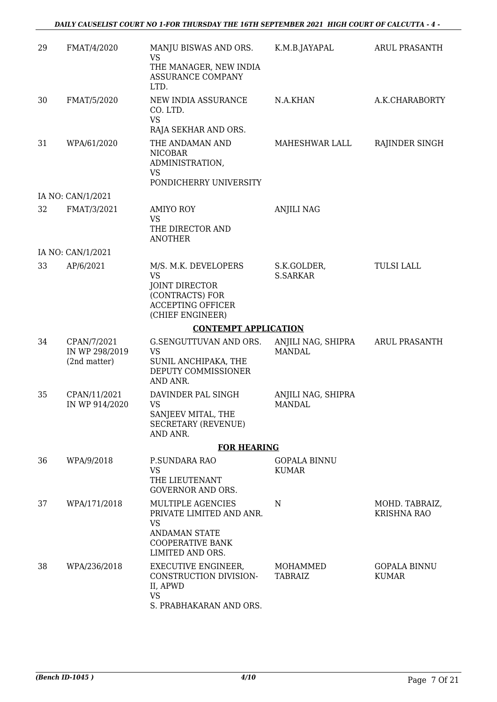| 29 | FMAT/4/2020                                   | MANJU BISWAS AND ORS.<br>VS                                                                                                       | K.M.B.JAYAPAL                       | ARUL PRASANTH                        |
|----|-----------------------------------------------|-----------------------------------------------------------------------------------------------------------------------------------|-------------------------------------|--------------------------------------|
|    |                                               | THE MANAGER, NEW INDIA<br><b>ASSURANCE COMPANY</b><br>LTD.                                                                        |                                     |                                      |
| 30 | FMAT/5/2020                                   | NEW INDIA ASSURANCE<br>CO. LTD.<br><b>VS</b>                                                                                      | N.A.KHAN                            | A.K.CHARABORTY                       |
|    |                                               | RAJA SEKHAR AND ORS.                                                                                                              |                                     |                                      |
| 31 | WPA/61/2020                                   | THE ANDAMAN AND<br><b>NICOBAR</b><br>ADMINISTRATION,<br><b>VS</b>                                                                 | MAHESHWAR LALL                      | RAJINDER SINGH                       |
|    |                                               | PONDICHERRY UNIVERSITY                                                                                                            |                                     |                                      |
|    | IA NO: CAN/1/2021                             |                                                                                                                                   |                                     |                                      |
| 32 | FMAT/3/2021                                   | <b>AMIYO ROY</b><br><b>VS</b><br>THE DIRECTOR AND<br><b>ANOTHER</b>                                                               | <b>ANJILI NAG</b>                   |                                      |
|    | IA NO: CAN/1/2021                             |                                                                                                                                   |                                     |                                      |
| 33 | AP/6/2021                                     | M/S. M.K. DEVELOPERS<br><b>VS</b><br><b>JOINT DIRECTOR</b><br>(CONTRACTS) FOR<br><b>ACCEPTING OFFICER</b>                         | S.K.GOLDER,<br><b>S.SARKAR</b>      | <b>TULSI LALL</b>                    |
|    |                                               | (CHIEF ENGINEER)                                                                                                                  |                                     |                                      |
|    |                                               | <b>CONTEMPT APPLICATION</b>                                                                                                       |                                     |                                      |
| 34 | CPAN/7/2021<br>IN WP 298/2019<br>(2nd matter) | G.SENGUTTUVAN AND ORS.<br><b>VS</b><br>SUNIL ANCHIPAKA, THE<br>DEPUTY COMMISSIONER<br>AND ANR.                                    | ANJILI NAG, SHIPRA<br><b>MANDAL</b> | ARUL PRASANTH                        |
| 35 | CPAN/11/2021<br>IN WP 914/2020                | DAVINDER PAL SINGH<br>VS<br>SANJEEV MITAL, THE<br><b>SECRETARY (REVENUE)</b><br>AND ANR.                                          | ANJILI NAG, SHIPRA<br><b>MANDAL</b> |                                      |
|    |                                               | <b>FOR HEARING</b>                                                                                                                |                                     |                                      |
| 36 | WPA/9/2018                                    | <b>P.SUNDARA RAO</b><br><b>VS</b><br>THE LIEUTENANT<br><b>GOVERNOR AND ORS.</b>                                                   | <b>GOPALA BINNU</b><br><b>KUMAR</b> |                                      |
| 37 | WPA/171/2018                                  | MULTIPLE AGENCIES<br>PRIVATE LIMITED AND ANR.<br><b>VS</b><br><b>ANDAMAN STATE</b><br><b>COOPERATIVE BANK</b><br>LIMITED AND ORS. | N                                   | MOHD. TABRAIZ,<br><b>KRISHNA RAO</b> |
| 38 | WPA/236/2018                                  | <b>EXECUTIVE ENGINEER,</b><br>CONSTRUCTION DIVISION-<br>II, APWD<br><b>VS</b><br>S. PRABHAKARAN AND ORS.                          | MOHAMMED<br><b>TABRAIZ</b>          | <b>GOPALA BINNU</b><br><b>KUMAR</b>  |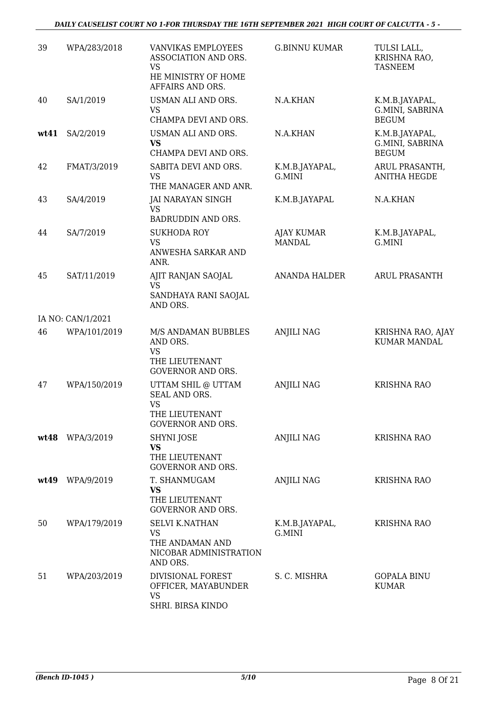| 39   | WPA/283/2018      | VANVIKAS EMPLOYEES<br>ASSOCIATION AND ORS.<br><b>VS</b><br>HE MINISTRY OF HOME<br>AFFAIRS AND ORS. | <b>G.BINNU KUMAR</b>               | TULSI LALL,<br>KRISHNA RAO,<br><b>TASNEEM</b>     |
|------|-------------------|----------------------------------------------------------------------------------------------------|------------------------------------|---------------------------------------------------|
| 40   | SA/1/2019         | USMAN ALI AND ORS.<br><b>VS</b><br>CHAMPA DEVI AND ORS.                                            | N.A.KHAN                           | K.M.B.JAYAPAL,<br>G.MINI, SABRINA<br><b>BEGUM</b> |
| wt41 | SA/2/2019         | USMAN ALI AND ORS.<br><b>VS</b><br>CHAMPA DEVI AND ORS.                                            | N.A.KHAN                           | K.M.B.JAYAPAL,<br>G.MINI, SABRINA<br><b>BEGUM</b> |
| 42   | FMAT/3/2019       | SABITA DEVI AND ORS.<br>VS<br>THE MANAGER AND ANR.                                                 | K.M.B.JAYAPAL,<br>G.MINI           | ARUL PRASANTH,<br><b>ANITHA HEGDE</b>             |
| 43   | SA/4/2019         | JAI NARAYAN SINGH<br><b>VS</b><br>BADRUDDIN AND ORS.                                               | K.M.B.JAYAPAL                      | N.A.KHAN                                          |
| 44   | SA/7/2019         | <b>SUKHODA ROY</b><br><b>VS</b><br>ANWESHA SARKAR AND<br>ANR.                                      | <b>AJAY KUMAR</b><br><b>MANDAL</b> | K.M.B.JAYAPAL,<br>G.MINI                          |
| 45   | SAT/11/2019       | AJIT RANJAN SAOJAL<br><b>VS</b><br>SANDHAYA RANI SAOJAL<br>AND ORS.                                | <b>ANANDA HALDER</b>               | <b>ARUL PRASANTH</b>                              |
|      | IA NO: CAN/1/2021 |                                                                                                    |                                    |                                                   |
| 46   | WPA/101/2019      | M/S ANDAMAN BUBBLES<br>AND ORS.<br>VS<br>THE LIEUTENANT<br><b>GOVERNOR AND ORS.</b>                | <b>ANJILI NAG</b>                  | KRISHNA RAO, AJAY<br><b>KUMAR MANDAL</b>          |
| 47   | WPA/150/2019      | UTTAM SHIL @ UTTAM<br>SEAL AND ORS.<br><b>VS</b><br>THE LIEUTENANT<br><b>GOVERNOR AND ORS.</b>     | <b>ANJILI NAG</b>                  | <b>KRISHNA RAO</b>                                |
| wt48 | WPA/3/2019        | <b>SHYNI JOSE</b><br><b>VS</b><br>THE LIEUTENANT<br><b>GOVERNOR AND ORS.</b>                       | <b>ANJILI NAG</b>                  | <b>KRISHNA RAO</b>                                |
| wt49 | WPA/9/2019        | T. SHANMUGAM<br><b>VS</b><br>THE LIEUTENANT<br><b>GOVERNOR AND ORS.</b>                            | <b>ANJILI NAG</b>                  | <b>KRISHNA RAO</b>                                |
| 50   | WPA/179/2019      | <b>SELVI K.NATHAN</b><br><b>VS</b><br>THE ANDAMAN AND<br>NICOBAR ADMINISTRATION<br>AND ORS.        | K.M.B.JAYAPAL,<br>G.MINI           | <b>KRISHNA RAO</b>                                |
| 51   | WPA/203/2019      | DIVISIONAL FOREST<br>OFFICER, MAYABUNDER<br><b>VS</b><br>SHRI. BIRSA KINDO                         | S. C. MISHRA                       | <b>GOPALA BINU</b><br><b>KUMAR</b>                |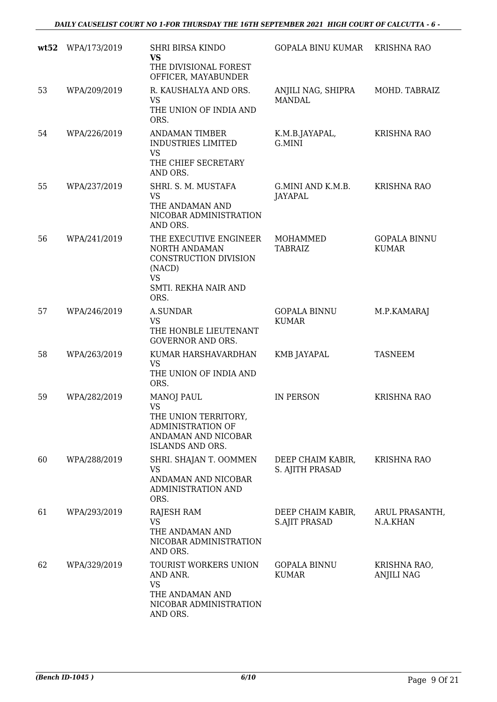| wt52 | WPA/173/2019 | <b>SHRI BIRSA KINDO</b><br><b>VS</b>                                                                                   | <b>GOPALA BINU KUMAR</b>                  | <b>KRISHNA RAO</b>                  |
|------|--------------|------------------------------------------------------------------------------------------------------------------------|-------------------------------------------|-------------------------------------|
|      |              | THE DIVISIONAL FOREST<br>OFFICER, MAYABUNDER                                                                           |                                           |                                     |
| 53   | WPA/209/2019 | R. KAUSHALYA AND ORS.<br><b>VS</b><br>THE UNION OF INDIA AND<br>ORS.                                                   | ANJILI NAG, SHIPRA<br><b>MANDAL</b>       | MOHD. TABRAIZ                       |
| 54   | WPA/226/2019 | <b>ANDAMAN TIMBER</b><br><b>INDUSTRIES LIMITED</b><br><b>VS</b><br>THE CHIEF SECRETARY<br>AND ORS.                     | K.M.B.JAYAPAL,<br>G.MINI                  | <b>KRISHNA RAO</b>                  |
| 55   | WPA/237/2019 | SHRI. S. M. MUSTAFA<br><b>VS</b><br>THE ANDAMAN AND<br>NICOBAR ADMINISTRATION<br>AND ORS.                              | G.MINI AND K.M.B.<br>JAYAPAL              | <b>KRISHNA RAO</b>                  |
| 56   | WPA/241/2019 | THE EXECUTIVE ENGINEER<br>NORTH ANDAMAN<br>CONSTRUCTION DIVISION<br>(NACD)<br>VS<br>SMTI. REKHA NAIR AND<br>ORS.       | MOHAMMED<br><b>TABRAIZ</b>                | <b>GOPALA BINNU</b><br><b>KUMAR</b> |
| 57   | WPA/246/2019 | <b>A.SUNDAR</b><br><b>VS</b><br>THE HONBLE LIEUTENANT<br><b>GOVERNOR AND ORS.</b>                                      | <b>GOPALA BINNU</b><br><b>KUMAR</b>       | M.P.KAMARAJ                         |
| 58   | WPA/263/2019 | KUMAR HARSHAVARDHAN<br><b>VS</b><br>THE UNION OF INDIA AND<br>ORS.                                                     | KMB JAYAPAL                               | <b>TASNEEM</b>                      |
| 59   | WPA/282/2019 | <b>MANOJ PAUL</b><br><b>VS</b><br>THE UNION TERRITORY,<br>ADMINISTRATION OF<br>ANDAMAN AND NICOBAR<br>ISLANDS AND ORS. | <b>IN PERSON</b>                          | <b>KRISHNA RAO</b>                  |
| 60   | WPA/288/2019 | SHRI. SHAJAN T. OOMMEN<br>VS<br>ANDAMAN AND NICOBAR<br>ADMINISTRATION AND<br>ORS.                                      | DEEP CHAIM KABIR,<br>S. AJITH PRASAD      | <b>KRISHNA RAO</b>                  |
| 61   | WPA/293/2019 | RAJESH RAM<br><b>VS</b><br>THE ANDAMAN AND<br>NICOBAR ADMINISTRATION<br>AND ORS.                                       | DEEP CHAIM KABIR,<br><b>S.AJIT PRASAD</b> | ARUL PRASANTH,<br>N.A.KHAN          |
| 62   | WPA/329/2019 | TOURIST WORKERS UNION<br>AND ANR.<br><b>VS</b><br>THE ANDAMAN AND<br>NICOBAR ADMINISTRATION<br>AND ORS.                | <b>GOPALA BINNU</b><br><b>KUMAR</b>       | KRISHNA RAO,<br><b>ANJILI NAG</b>   |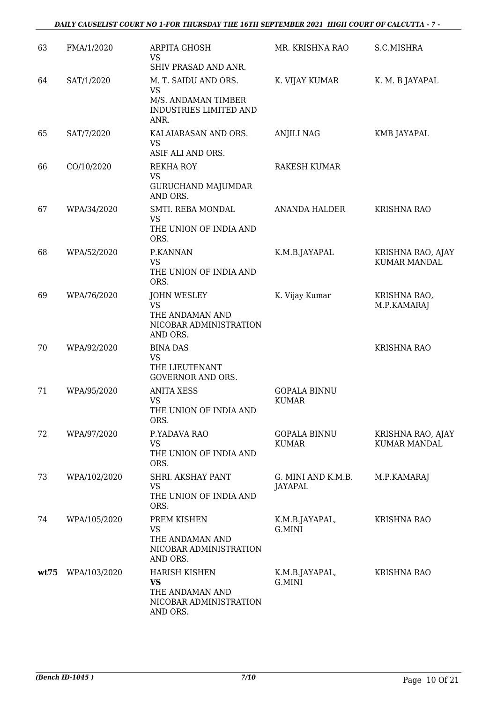| 63   | FMA/1/2020   | <b>ARPITA GHOSH</b><br><b>VS</b><br>SHIV PRASAD AND ANR.                                   | MR. KRISHNA RAO                     | S.C.MISHRA                               |
|------|--------------|--------------------------------------------------------------------------------------------|-------------------------------------|------------------------------------------|
| 64   | SAT/1/2020   | M. T. SAIDU AND ORS.<br><b>VS</b><br>M/S. ANDAMAN TIMBER<br>INDUSTRIES LIMITED AND<br>ANR. | K. VIJAY KUMAR                      | K. M. B JAYAPAL                          |
| 65   | SAT/7/2020   | KALAIARASAN AND ORS.<br><b>VS</b><br>ASIF ALI AND ORS.                                     | <b>ANJILI NAG</b>                   | KMB JAYAPAL                              |
| 66   | CO/10/2020   | <b>REKHA ROY</b><br><b>VS</b><br><b>GURUCHAND MAJUMDAR</b><br>AND ORS.                     | RAKESH KUMAR                        |                                          |
| 67   | WPA/34/2020  | SMTI. REBA MONDAL<br>VS<br>THE UNION OF INDIA AND<br>ORS.                                  | <b>ANANDA HALDER</b>                | <b>KRISHNA RAO</b>                       |
| 68   | WPA/52/2020  | P.KANNAN<br><b>VS</b><br>THE UNION OF INDIA AND<br>ORS.                                    | K.M.B.JAYAPAL                       | KRISHNA RAO, AJAY<br><b>KUMAR MANDAL</b> |
| 69   | WPA/76/2020  | <b>JOHN WESLEY</b><br><b>VS</b><br>THE ANDAMAN AND<br>NICOBAR ADMINISTRATION<br>AND ORS.   | K. Vijay Kumar                      | KRISHNA RAO,<br>M.P.KAMARAJ              |
| 70   | WPA/92/2020  | <b>BINA DAS</b><br><b>VS</b><br>THE LIEUTENANT<br><b>GOVERNOR AND ORS.</b>                 |                                     | <b>KRISHNA RAO</b>                       |
| 71   | WPA/95/2020  | <b>ANITA XESS</b><br><b>VS</b><br>THE UNION OF INDIA AND<br>ORS.                           | <b>GOPALA BINNU</b><br><b>KUMAR</b> |                                          |
| 72   | WPA/97/2020  | P.YADAVA RAO<br><b>VS</b><br>THE UNION OF INDIA AND<br>ORS.                                | <b>GOPALA BINNU</b><br><b>KUMAR</b> | KRISHNA RAO, AJAY<br><b>KUMAR MANDAL</b> |
| 73   | WPA/102/2020 | SHRI. AKSHAY PANT<br><b>VS</b><br>THE UNION OF INDIA AND<br>ORS.                           | G. MINI AND K.M.B.<br>JAYAPAL       | M.P.KAMARAJ                              |
| 74   | WPA/105/2020 | PREM KISHEN<br>VS<br>THE ANDAMAN AND<br>NICOBAR ADMINISTRATION<br>AND ORS.                 | K.M.B.JAYAPAL,<br>G.MINI            | <b>KRISHNA RAO</b>                       |
| wt75 | WPA/103/2020 | <b>HARISH KISHEN</b><br><b>VS</b><br>THE ANDAMAN AND<br>NICOBAR ADMINISTRATION<br>AND ORS. | K.M.B.JAYAPAL,<br>G.MINI            | <b>KRISHNA RAO</b>                       |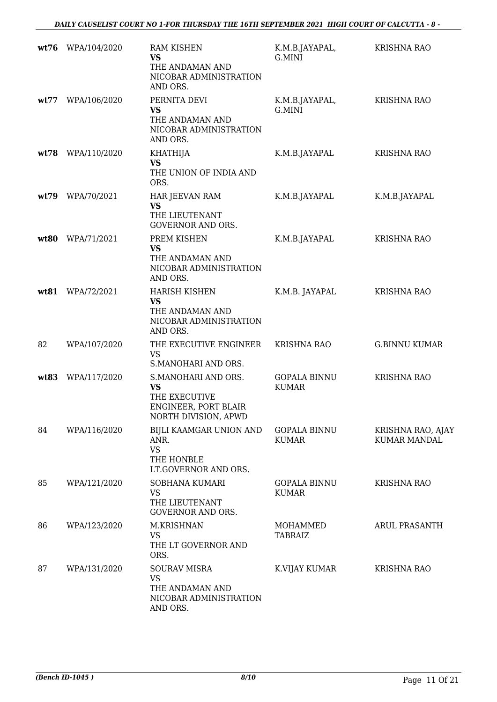| wt76 | WPA/104/2020 | <b>RAM KISHEN</b><br>VS                                                                           | K.M.B.JAYAPAL,<br>G.MINI            | <b>KRISHNA RAO</b>                       |
|------|--------------|---------------------------------------------------------------------------------------------------|-------------------------------------|------------------------------------------|
|      |              | THE ANDAMAN AND<br>NICOBAR ADMINISTRATION<br>AND ORS.                                             |                                     |                                          |
| wt77 | WPA/106/2020 | PERNITA DEVI<br><b>VS</b><br>THE ANDAMAN AND<br>NICOBAR ADMINISTRATION<br>AND ORS.                | K.M.B.JAYAPAL,<br>G.MINI            | <b>KRISHNA RAO</b>                       |
| wt78 | WPA/110/2020 | KHATHIJA<br><b>VS</b><br>THE UNION OF INDIA AND<br>ORS.                                           | K.M.B.JAYAPAL                       | <b>KRISHNA RAO</b>                       |
| wt79 | WPA/70/2021  | HAR JEEVAN RAM<br><b>VS</b><br>THE LIEUTENANT<br><b>GOVERNOR AND ORS.</b>                         | K.M.B.JAYAPAL                       | K.M.B.JAYAPAL                            |
| wt80 | WPA/71/2021  | PREM KISHEN<br><b>VS</b><br>THE ANDAMAN AND<br>NICOBAR ADMINISTRATION<br>AND ORS.                 | K.M.B.JAYAPAL                       | <b>KRISHNA RAO</b>                       |
| wt81 | WPA/72/2021  | <b>HARISH KISHEN</b><br><b>VS</b><br>THE ANDAMAN AND<br>NICOBAR ADMINISTRATION<br>AND ORS.        | K.M.B. JAYAPAL                      | <b>KRISHNA RAO</b>                       |
| 82   | WPA/107/2020 | THE EXECUTIVE ENGINEER<br><b>VS</b><br>S.MANOHARI AND ORS.                                        | <b>KRISHNA RAO</b>                  | <b>G.BINNU KUMAR</b>                     |
| wt83 | WPA/117/2020 | S.MANOHARI AND ORS.<br><b>VS</b><br>THE EXECUTIVE<br>ENGINEER, PORT BLAIR<br>NORTH DIVISION, APWD | <b>GOPALA BINNU</b><br><b>KUMAR</b> | <b>KRISHNA RAO</b>                       |
| 84   | WPA/116/2020 | BIJLI KAAMGAR UNION AND<br>ANR.<br><b>VS</b><br>THE HONBLE<br>LT.GOVERNOR AND ORS.                | <b>GOPALA BINNU</b><br><b>KUMAR</b> | KRISHNA RAO, AJAY<br><b>KUMAR MANDAL</b> |
| 85   | WPA/121/2020 | SOBHANA KUMARI<br>VS<br>THE LIEUTENANT<br><b>GOVERNOR AND ORS.</b>                                | <b>GOPALA BINNU</b><br><b>KUMAR</b> | <b>KRISHNA RAO</b>                       |
| 86   | WPA/123/2020 | M.KRISHNAN<br><b>VS</b><br>THE LT GOVERNOR AND<br>ORS.                                            | MOHAMMED<br><b>TABRAIZ</b>          | <b>ARUL PRASANTH</b>                     |
| 87   | WPA/131/2020 | <b>SOURAV MISRA</b><br>VS<br>THE ANDAMAN AND<br>NICOBAR ADMINISTRATION<br>AND ORS.                | K.VIJAY KUMAR                       | <b>KRISHNA RAO</b>                       |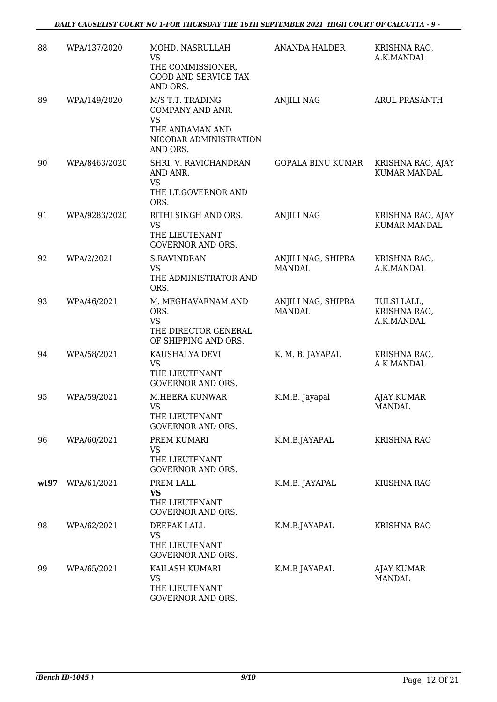| 88   | WPA/137/2020  | MOHD. NASRULLAH<br><b>VS</b>                                                            | <b>ANANDA HALDER</b>                | KRISHNA RAO,<br>A.K.MANDAL                |
|------|---------------|-----------------------------------------------------------------------------------------|-------------------------------------|-------------------------------------------|
|      |               | THE COMMISSIONER,<br><b>GOOD AND SERVICE TAX</b><br>AND ORS.                            |                                     |                                           |
| 89   | WPA/149/2020  | M/S T.T. TRADING<br>COMPANY AND ANR.<br><b>VS</b>                                       | <b>ANJILI NAG</b>                   | <b>ARUL PRASANTH</b>                      |
|      |               | THE ANDAMAN AND<br>NICOBAR ADMINISTRATION<br>AND ORS.                                   |                                     |                                           |
| 90   | WPA/8463/2020 | SHRI. V. RAVICHANDRAN<br>AND ANR.<br><b>VS</b><br>THE LT.GOVERNOR AND<br>ORS.           | <b>GOPALA BINU KUMAR</b>            | KRISHNA RAO, AJAY<br><b>KUMAR MANDAL</b>  |
| 91   | WPA/9283/2020 | RITHI SINGH AND ORS.<br><b>VS</b><br>THE LIEUTENANT<br><b>GOVERNOR AND ORS.</b>         | <b>ANJILI NAG</b>                   | KRISHNA RAO, AJAY<br><b>KUMAR MANDAL</b>  |
| 92   | WPA/2/2021    | <b>S.RAVINDRAN</b><br><b>VS</b><br>THE ADMINISTRATOR AND<br>ORS.                        | ANJILI NAG, SHIPRA<br><b>MANDAL</b> | KRISHNA RAO,<br>A.K.MANDAL                |
| 93   | WPA/46/2021   | M. MEGHAVARNAM AND<br>ORS.<br><b>VS</b><br>THE DIRECTOR GENERAL<br>OF SHIPPING AND ORS. | ANJILI NAG, SHIPRA<br><b>MANDAL</b> | TULSI LALL,<br>KRISHNA RAO,<br>A.K.MANDAL |
| 94   | WPA/58/2021   | KAUSHALYA DEVI<br><b>VS</b><br>THE LIEUTENANT<br><b>GOVERNOR AND ORS.</b>               | K. M. B. JAYAPAL                    | KRISHNA RAO,<br>A.K.MANDAL                |
| 95   | WPA/59/2021   | <b>M.HEERA KUNWAR</b><br><b>VS</b><br>THE LIEUTENANT<br><b>GOVERNOR AND ORS.</b>        | K.M.B. Jayapal                      | <b>AJAY KUMAR</b><br><b>MANDAL</b>        |
| 96   | WPA/60/2021   | PREM KUMARI<br>VS<br>THE LIEUTENANT<br><b>GOVERNOR AND ORS.</b>                         | K.M.B.JAYAPAL                       | <b>KRISHNA RAO</b>                        |
| wt97 | WPA/61/2021   | PREM LALL<br><b>VS</b><br>THE LIEUTENANT<br><b>GOVERNOR AND ORS.</b>                    | K.M.B. JAYAPAL                      | <b>KRISHNA RAO</b>                        |
| 98   | WPA/62/2021   | DEEPAK LALL<br><b>VS</b><br>THE LIEUTENANT<br><b>GOVERNOR AND ORS.</b>                  | K.M.B.JAYAPAL                       | <b>KRISHNA RAO</b>                        |
| 99   | WPA/65/2021   | KAILASH KUMARI<br><b>VS</b><br>THE LIEUTENANT<br>GOVERNOR AND ORS.                      | K.M.B JAYAPAL                       | AJAY KUMAR<br><b>MANDAL</b>               |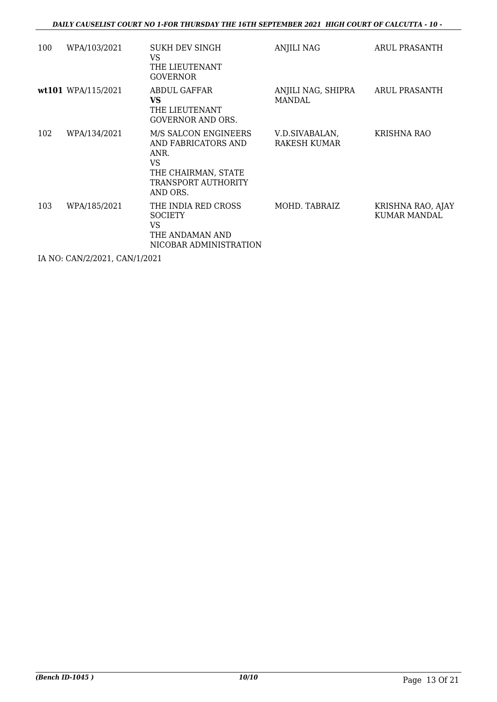| 100 | WPA/103/2021       | <b>SUKH DEV SINGH</b><br>VS.<br>THE LIEUTENANT<br><b>GOVERNOR</b>                                                    | ANJILI NAG                          | ARUL PRASANTH                     |
|-----|--------------------|----------------------------------------------------------------------------------------------------------------------|-------------------------------------|-----------------------------------|
|     | wt101 WPA/115/2021 | ABDUL GAFFAR<br><b>VS</b><br>THE LIEUTENANT<br><b>GOVERNOR AND ORS.</b>                                              | ANJILI NAG, SHIPRA<br><b>MANDAL</b> | ARUL PRASANTH                     |
| 102 | WPA/134/2021       | M/S SALCON ENGINEERS<br>AND FABRICATORS AND<br>ANR.<br>VS.<br>THE CHAIRMAN, STATE<br>TRANSPORT AUTHORITY<br>AND ORS. | V.D.SIVABALAN,<br>RAKESH KUMAR      | KRISHNA RAO                       |
| 103 | WPA/185/2021       | THE INDIA RED CROSS<br><b>SOCIETY</b><br>VS.<br>THE ANDAMAN AND<br>NICOBAR ADMINISTRATION                            | MOHD. TABRAIZ                       | KRISHNA RAO, AJAY<br>KUMAR MANDAL |

IA NO: CAN/2/2021, CAN/1/2021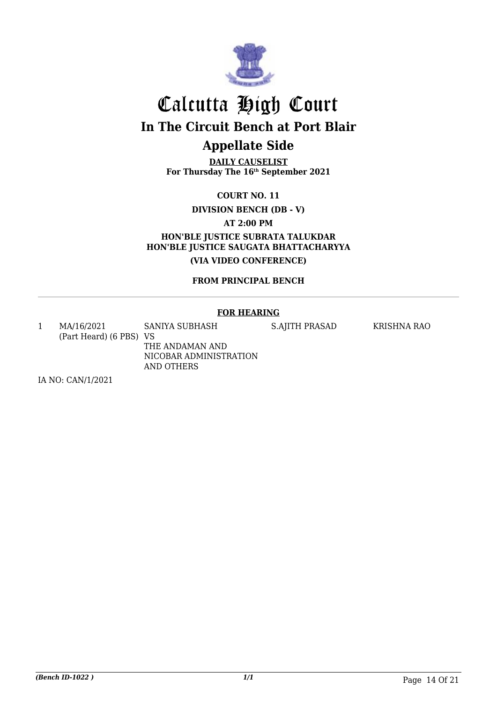

# Calcutta High Court **In The Circuit Bench at Port Blair Appellate Side**

**DAILY CAUSELIST For Thursday The 16th September 2021**

**COURT NO. 11**

**DIVISION BENCH (DB - V)**

**AT 2:00 PM**

**HON'BLE JUSTICE SUBRATA TALUKDAR HON'BLE JUSTICE SAUGATA BHATTACHARYYA (VIA VIDEO CONFERENCE)**

**FROM PRINCIPAL BENCH**

### **FOR HEARING**

1 MA/16/2021 (Part Heard) (6 PBS) VS SANIYA SUBHASH THE ANDAMAN AND NICOBAR ADMINISTRATION

AND OTHERS

S.AJITH PRASAD KRISHNA RAO

IA NO: CAN/1/2021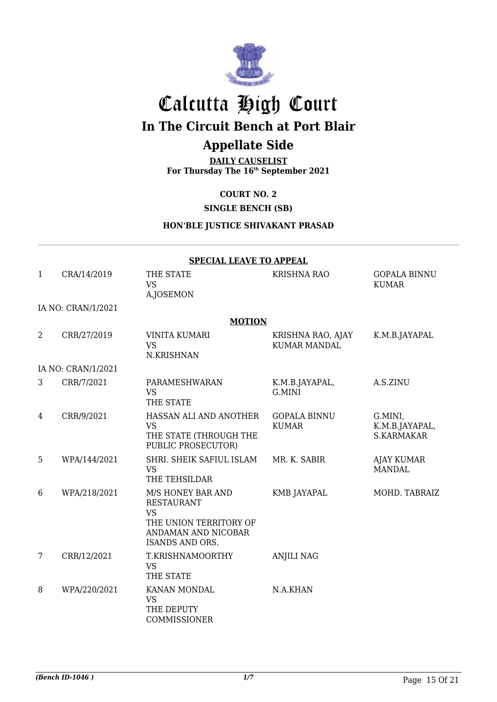

# Calcutta High Court **In The Circuit Bench at Port Blair**

## **Appellate Side**

**DAILY CAUSELIST For Thursday The 16th September 2021**

**COURT NO. 2**

**SINGLE BENCH (SB)**

**HON'BLE JUSTICE SHIVAKANT PRASAD**

|                 | <b>SPECIAL LEAVE TO APPEAL</b> |                                                                                                                                |                                          |                                                |  |
|-----------------|--------------------------------|--------------------------------------------------------------------------------------------------------------------------------|------------------------------------------|------------------------------------------------|--|
| $\mathbf{1}$    | CRA/14/2019                    | THE STATE<br><b>VS</b><br>A.JOSEMON                                                                                            | KRISHNA RAO                              | <b>GOPALA BINNU</b><br><b>KUMAR</b>            |  |
|                 | IA NO: CRAN/1/2021             |                                                                                                                                |                                          |                                                |  |
|                 |                                | <b>MOTION</b>                                                                                                                  |                                          |                                                |  |
| $\overline{2}$  | CRR/27/2019                    | <b>VINITA KUMARI</b><br><b>VS</b><br>N.KRISHNAN                                                                                | KRISHNA RAO, AJAY<br><b>KUMAR MANDAL</b> | K.M.B.JAYAPAL                                  |  |
|                 | IA NO: CRAN/1/2021             |                                                                                                                                |                                          |                                                |  |
| 3               | CRR/7/2021                     | PARAMESHWARAN<br><b>VS</b><br>THE STATE                                                                                        | K.M.B.JAYAPAL,<br>G.MINI                 | A.S.ZINU                                       |  |
| 4               | CRR/9/2021                     | HASSAN ALI AND ANOTHER<br><b>VS</b><br>THE STATE (THROUGH THE<br>PUBLIC PROSECUTOR)                                            | <b>GOPALA BINNU</b><br><b>KUMAR</b>      | G.MINI,<br>K.M.B.JAYAPAL,<br><b>S.KARMAKAR</b> |  |
| 5               | WPA/144/2021                   | SHRI. SHEIK SAFIUL ISLAM<br><b>VS</b><br>THE TEHSILDAR                                                                         | MR. K. SABIR                             | <b>AJAY KUMAR</b><br><b>MANDAL</b>             |  |
| 6               | WPA/218/2021                   | M/S HONEY BAR AND<br><b>RESTAURANT</b><br><b>VS</b><br>THE UNION TERRITORY OF<br>ANDAMAN AND NICOBAR<br><b>ISANDS AND ORS.</b> | <b>KMB JAYAPAL</b>                       | MOHD. TABRAIZ                                  |  |
| $7\overline{ }$ | CRR/12/2021                    | T.KRISHNAMOORTHY<br><b>VS</b><br>THE STATE                                                                                     | <b>ANJILI NAG</b>                        |                                                |  |
| 8               | WPA/220/2021                   | KANAN MONDAL<br><b>VS</b><br>THE DEPUTY<br>COMMISSIONER                                                                        | N.A.KHAN                                 |                                                |  |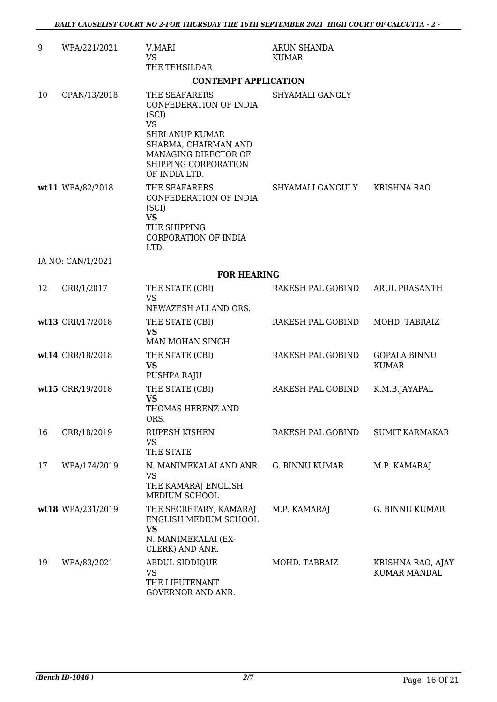| 9  | WPA/221/2021      | V.MARI<br><b>VS</b><br>THE TEHSILDAR                                                                                                                                             | <b>ARUN SHANDA</b><br><b>KUMAR</b> |                                          |
|----|-------------------|----------------------------------------------------------------------------------------------------------------------------------------------------------------------------------|------------------------------------|------------------------------------------|
|    |                   | <b>CONTEMPT APPLICATION</b>                                                                                                                                                      |                                    |                                          |
| 10 | CPAN/13/2018      | THE SEAFARERS<br>CONFEDERATION OF INDIA<br>(SCI)<br><b>VS</b><br><b>SHRI ANUP KUMAR</b><br>SHARMA, CHAIRMAN AND<br>MANAGING DIRECTOR OF<br>SHIPPING CORPORATION<br>OF INDIA LTD. | SHYAMALI GANGLY                    |                                          |
|    | wt11 WPA/82/2018  | THE SEAFARERS<br>CONFEDERATION OF INDIA<br>(SCI)<br><b>VS</b><br>THE SHIPPING<br><b>CORPORATION OF INDIA</b><br>LTD.                                                             | SHYAMALI GANGULY KRISHNA RAO       |                                          |
|    | IA NO: CAN/1/2021 |                                                                                                                                                                                  |                                    |                                          |
|    |                   | <b>FOR HEARING</b>                                                                                                                                                               |                                    |                                          |
| 12 | CRR/1/2017        | THE STATE (CBI)<br><b>VS</b><br>NEWAZESH ALI AND ORS.                                                                                                                            | RAKESH PAL GOBIND                  | <b>ARUL PRASANTH</b>                     |
|    | wt13 CRR/17/2018  | THE STATE (CBI)<br><b>VS</b><br>MAN MOHAN SINGH                                                                                                                                  | RAKESH PAL GOBIND                  | MOHD. TABRAIZ                            |
|    | wt14 CRR/18/2018  | THE STATE (CBI)<br><b>VS</b><br>PUSHPA RAJU                                                                                                                                      | RAKESH PAL GOBIND                  | <b>GOPALA BINNU</b><br><b>KUMAR</b>      |
|    | wt15 CRR/19/2018  | THE STATE (CBI)<br><b>VS</b><br>THOMAS HERENZ AND<br>ORS.                                                                                                                        | RAKESH PAL GOBIND                  | K.M.B.JAYAPAL                            |
| 16 | CRR/18/2019       | <b>RUPESH KISHEN</b><br>VS<br>THE STATE                                                                                                                                          | RAKESH PAL GOBIND                  | <b>SUMIT KARMAKAR</b>                    |
| 17 | WPA/174/2019      | N. MANIMEKALAI AND ANR.<br><b>VS</b><br>THE KAMARAJ ENGLISH<br>MEDIUM SCHOOL                                                                                                     | <b>G. BINNU KUMAR</b>              | M.P. KAMARAJ                             |
|    | wt18 WPA/231/2019 | THE SECRETARY, KAMARAJ<br>ENGLISH MEDIUM SCHOOL<br><b>VS</b><br>N. MANIMEKALAI (EX-<br>CLERK) AND ANR.                                                                           | M.P. KAMARAJ                       | <b>G. BINNU KUMAR</b>                    |
| 19 | WPA/83/2021       | ABDUL SIDDIQUE<br><b>VS</b><br>THE LIEUTENANT<br>GOVERNOR AND ANR.                                                                                                               | MOHD. TABRAIZ                      | KRISHNA RAO, AJAY<br><b>KUMAR MANDAL</b> |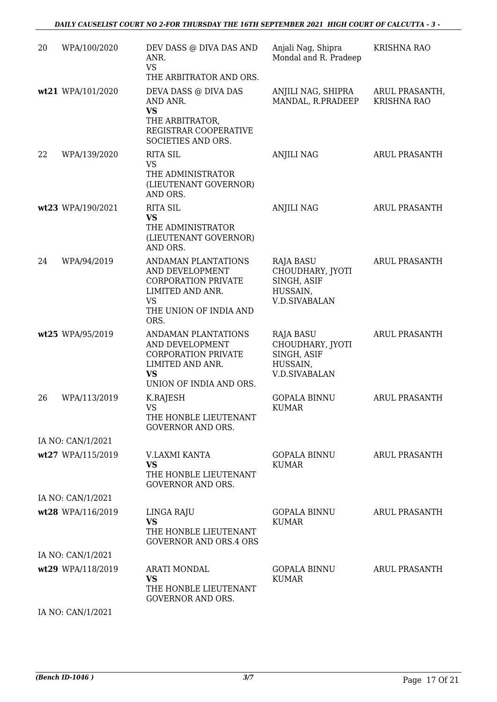| 20 | WPA/100/2020      | DEV DASS @ DIVA DAS AND<br>ANR.<br><b>VS</b><br>THE ARBITRATOR AND ORS.                                                                 | Anjali Nag, Shipra<br>Mondal and R. Pradeep                                             | <b>KRISHNA RAO</b>                   |
|----|-------------------|-----------------------------------------------------------------------------------------------------------------------------------------|-----------------------------------------------------------------------------------------|--------------------------------------|
|    | wt21 WPA/101/2020 | DEVA DASS @ DIVA DAS<br>AND ANR.<br><b>VS</b><br>THE ARBITRATOR,<br>REGISTRAR COOPERATIVE                                               | ANJILI NAG, SHIPRA<br>MANDAL, R.PRADEEP                                                 | ARUL PRASANTH,<br><b>KRISHNA RAO</b> |
| 22 | WPA/139/2020      | SOCIETIES AND ORS.<br><b>RITA SIL</b>                                                                                                   | <b>ANJILI NAG</b>                                                                       | <b>ARUL PRASANTH</b>                 |
|    |                   | <b>VS</b><br>THE ADMINISTRATOR<br>(LIEUTENANT GOVERNOR)<br>AND ORS.                                                                     |                                                                                         |                                      |
|    | wt23 WPA/190/2021 | <b>RITA SIL</b><br><b>VS</b><br>THE ADMINISTRATOR<br>(LIEUTENANT GOVERNOR)<br>AND ORS.                                                  | <b>ANJILI NAG</b>                                                                       | <b>ARUL PRASANTH</b>                 |
| 24 | WPA/94/2019       | ANDAMAN PLANTATIONS<br>AND DEVELOPMENT<br><b>CORPORATION PRIVATE</b><br>LIMITED AND ANR.<br><b>VS</b><br>THE UNION OF INDIA AND<br>ORS. | <b>RAJA BASU</b><br>CHOUDHARY, JYOTI<br>SINGH, ASIF<br>HUSSAIN,<br><b>V.D.SIVABALAN</b> | <b>ARUL PRASANTH</b>                 |
|    | wt25 WPA/95/2019  | ANDAMAN PLANTATIONS<br>AND DEVELOPMENT<br><b>CORPORATION PRIVATE</b><br>LIMITED AND ANR.<br><b>VS</b><br>UNION OF INDIA AND ORS.        | RAJA BASU<br>CHOUDHARY, JYOTI<br>SINGH, ASIF<br>HUSSAIN,<br><b>V.D.SIVABALAN</b>        | <b>ARUL PRASANTH</b>                 |
| 26 | WPA/113/2019      | K.RAJESH<br><b>VS</b><br>THE HONBLE LIEUTENANT<br><b>GOVERNOR AND ORS.</b>                                                              | <b>GOPALA BINNU</b><br><b>KUMAR</b>                                                     | <b>ARUL PRASANTH</b>                 |
|    | IA NO: CAN/1/2021 |                                                                                                                                         |                                                                                         |                                      |
|    | wt27 WPA/115/2019 | V.LAXMI KANTA<br><b>VS</b><br>THE HONBLE LIEUTENANT<br><b>GOVERNOR AND ORS.</b>                                                         | <b>GOPALA BINNU</b><br><b>KUMAR</b>                                                     | <b>ARUL PRASANTH</b>                 |
|    | IA NO: CAN/1/2021 |                                                                                                                                         |                                                                                         |                                      |
|    | wt28 WPA/116/2019 | LINGA RAJU<br><b>VS</b><br>THE HONBLE LIEUTENANT<br><b>GOVERNOR AND ORS.4 ORS</b>                                                       | <b>GOPALA BINNU</b><br><b>KUMAR</b>                                                     | ARUL PRASANTH                        |
|    | IA NO: CAN/1/2021 |                                                                                                                                         |                                                                                         |                                      |
|    | wt29 WPA/118/2019 | <b>ARATI MONDAL</b><br><b>VS</b><br>THE HONBLE LIEUTENANT<br><b>GOVERNOR AND ORS.</b>                                                   | GOPALA BINNU<br><b>KUMAR</b>                                                            | <b>ARUL PRASANTH</b>                 |
|    | IA NO: CAN/1/2021 |                                                                                                                                         |                                                                                         |                                      |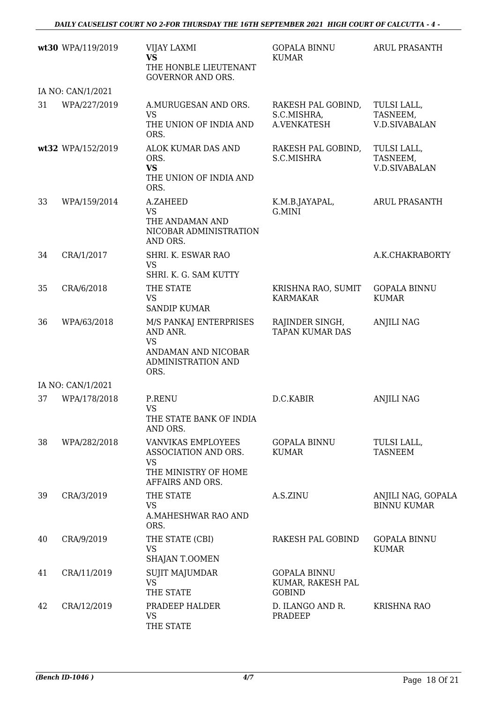|    | wt30 WPA/119/2019 | <b>VIJAY LAXMI</b><br><b>VS</b><br>THE HONBLE LIEUTENANT<br><b>GOVERNOR AND ORS.</b>                       | <b>GOPALA BINNU</b><br><b>KUMAR</b>                       | <b>ARUL PRASANTH</b>                            |
|----|-------------------|------------------------------------------------------------------------------------------------------------|-----------------------------------------------------------|-------------------------------------------------|
|    | IA NO: CAN/1/2021 |                                                                                                            |                                                           |                                                 |
| 31 | WPA/227/2019      | A.MURUGESAN AND ORS.<br><b>VS</b><br>THE UNION OF INDIA AND<br>ORS.                                        | RAKESH PAL GOBIND,<br>S.C.MISHRA,<br>A.VENKATESH          | TULSI LALL,<br>TASNEEM,<br><b>V.D.SIVABALAN</b> |
|    | wt32 WPA/152/2019 | ALOK KUMAR DAS AND<br>ORS.<br><b>VS</b><br>THE UNION OF INDIA AND<br>ORS.                                  | RAKESH PAL GOBIND,<br>S.C.MISHRA                          | TULSI LALL,<br>TASNEEM,<br><b>V.D.SIVABALAN</b> |
| 33 | WPA/159/2014      | A.ZAHEED<br><b>VS</b><br>THE ANDAMAN AND<br>NICOBAR ADMINISTRATION<br>AND ORS.                             | K.M.B.JAYAPAL,<br>G.MINI                                  | <b>ARUL PRASANTH</b>                            |
| 34 | CRA/1/2017        | SHRI. K. ESWAR RAO<br><b>VS</b><br>SHRI. K. G. SAM KUTTY                                                   |                                                           | A.K.CHAKRABORTY                                 |
| 35 | CRA/6/2018        | THE STATE<br><b>VS</b><br><b>SANDIP KUMAR</b>                                                              | KRISHNA RAO, SUMIT<br><b>KARMAKAR</b>                     | <b>GOPALA BINNU</b><br><b>KUMAR</b>             |
| 36 | WPA/63/2018       | M/S PANKAJ ENTERPRISES<br>AND ANR.<br><b>VS</b><br>ANDAMAN AND NICOBAR<br>ADMINISTRATION AND<br>ORS.       | RAJINDER SINGH,<br><b>TAPAN KUMAR DAS</b>                 | <b>ANJILI NAG</b>                               |
|    | IA NO: CAN/1/2021 |                                                                                                            |                                                           |                                                 |
| 37 | WPA/178/2018      | P.RENU<br><b>VS</b><br>THE STATE BANK OF INDIA<br>AND ORS.                                                 | D.C.KABIR                                                 | <b>ANJILI NAG</b>                               |
| 38 | WPA/282/2018      | <b>VANVIKAS EMPLOYEES</b><br>ASSOCIATION AND ORS.<br><b>VS</b><br>THE MINISTRY OF HOME<br>AFFAIRS AND ORS. | <b>GOPALA BINNU</b><br><b>KUMAR</b>                       | TULSI LALL,<br><b>TASNEEM</b>                   |
| 39 | CRA/3/2019        | THE STATE<br>VS<br>A.MAHESHWAR RAO AND<br>ORS.                                                             | A.S.ZINU                                                  | ANJILI NAG, GOPALA<br><b>BINNU KUMAR</b>        |
| 40 | CRA/9/2019        | THE STATE (CBI)<br><b>VS</b><br>SHAJAN T.OOMEN                                                             | RAKESH PAL GOBIND                                         | <b>GOPALA BINNU</b><br><b>KUMAR</b>             |
| 41 | CRA/11/2019       | <b>SUJIT MAJUMDAR</b><br><b>VS</b><br>THE STATE                                                            | <b>GOPALA BINNU</b><br>KUMAR, RAKESH PAL<br><b>GOBIND</b> |                                                 |
| 42 | CRA/12/2019       | PRADEEP HALDER<br><b>VS</b><br>THE STATE                                                                   | D. ILANGO AND R.<br>PRADEEP                               | <b>KRISHNA RAO</b>                              |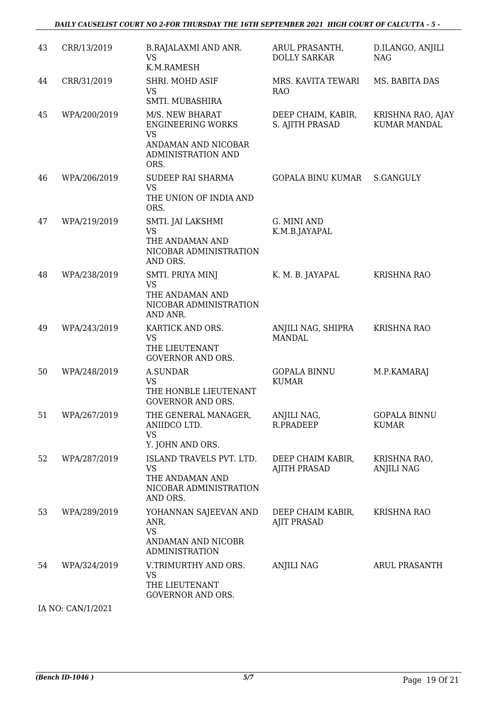### *DAILY CAUSELIST COURT NO 2-FOR THURSDAY THE 16TH SEPTEMBER 2021 HIGH COURT OF CALCUTTA - 5 -*

| 43 | CRR/13/2019       | <b>B.RAJALAXMI AND ANR.</b><br><b>VS</b><br>K.M.RAMESH                                                        | ARUL PRASANTH,<br><b>DOLLY SARKAR</b>    | D.ILANGO, ANJILI<br><b>NAG</b>           |
|----|-------------------|---------------------------------------------------------------------------------------------------------------|------------------------------------------|------------------------------------------|
| 44 | CRR/31/2019       | SHRI. MOHD ASIF<br><b>VS</b><br>SMTI. MUBASHIRA                                                               | MRS. KAVITA TEWARI<br><b>RAO</b>         | MS. BABITA DAS                           |
| 45 | WPA/200/2019      | M/S. NEW BHARAT<br><b>ENGINEERING WORKS</b><br><b>VS</b><br>ANDAMAN AND NICOBAR<br>ADMINISTRATION AND<br>ORS. | DEEP CHAIM, KABIR,<br>S. AJITH PRASAD    | KRISHNA RAO, AJAY<br><b>KUMAR MANDAL</b> |
| 46 | WPA/206/2019      | SUDEEP RAI SHARMA<br><b>VS</b><br>THE UNION OF INDIA AND<br>ORS.                                              | <b>GOPALA BINU KUMAR</b>                 | S.GANGULY                                |
| 47 | WPA/219/2019      | SMTI. JAI LAKSHMI<br><b>VS</b><br>THE ANDAMAN AND<br>NICOBAR ADMINISTRATION<br>AND ORS.                       | G. MINI AND<br>K.M.B.JAYAPAL             |                                          |
| 48 | WPA/238/2019      | SMTI. PRIYA MINJ<br><b>VS</b><br>THE ANDAMAN AND<br>NICOBAR ADMINISTRATION<br>AND ANR.                        | K. M. B. JAYAPAL                         | <b>KRISHNA RAO</b>                       |
| 49 | WPA/243/2019      | KARTICK AND ORS.<br>VS<br>THE LIEUTENANT<br><b>GOVERNOR AND ORS.</b>                                          | ANJILI NAG, SHIPRA<br><b>MANDAL</b>      | <b>KRISHNA RAO</b>                       |
| 50 | WPA/248/2019      | <b>A.SUNDAR</b><br><b>VS</b><br>THE HONBLE LIEUTENANT<br><b>GOVERNOR AND ORS.</b>                             | <b>GOPALA BINNU</b><br><b>KUMAR</b>      | M.P.KAMARAJ                              |
| 51 | WPA/267/2019      | THE GENERAL MANAGER,<br>ANIIDCO LTD.<br><b>VS</b><br>Y. JOHN AND ORS.                                         | ANJILI NAG,<br>R.PRADEEP                 | <b>GOPALA BINNU</b><br><b>KUMAR</b>      |
| 52 | WPA/287/2019      | ISLAND TRAVELS PVT. LTD.<br><b>VS</b><br>THE ANDAMAN AND<br>NICOBAR ADMINISTRATION<br>AND ORS.                | DEEP CHAIM KABIR,<br><b>AJITH PRASAD</b> | KRISHNA RAO,<br><b>ANJILI NAG</b>        |
| 53 | WPA/289/2019      | YOHANNAN SAJEEVAN AND<br>ANR.<br><b>VS</b><br>ANDAMAN AND NICOBR<br><b>ADMINISTRATION</b>                     | DEEP CHAIM KABIR,<br><b>AJIT PRASAD</b>  | <b>KRISHNA RAO</b>                       |
| 54 | WPA/324/2019      | V.TRIMURTHY AND ORS.<br><b>VS</b><br>THE LIEUTENANT<br>GOVERNOR AND ORS.                                      | <b>ANJILI NAG</b>                        | <b>ARUL PRASANTH</b>                     |
|    | IA NO: CAN/1/2021 |                                                                                                               |                                          |                                          |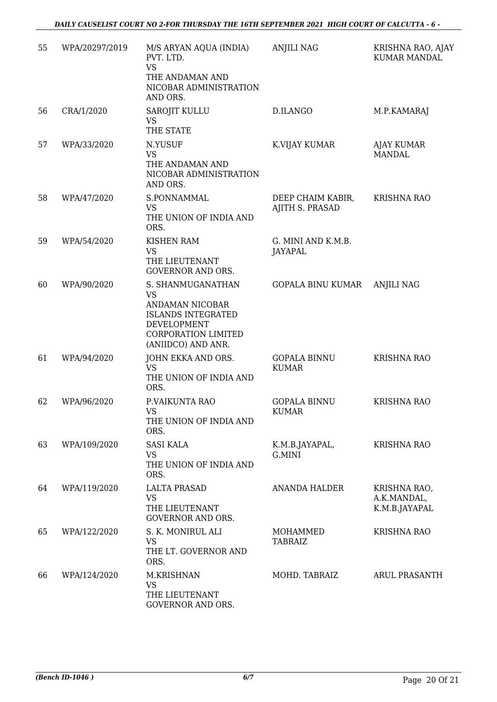| 55 | WPA/20297/2019 | M/S ARYAN AQUA (INDIA)<br>PVT. LTD.<br><b>VS</b><br>THE ANDAMAN AND<br>NICOBAR ADMINISTRATION<br>AND ORS.                                         | <b>ANJILI NAG</b>                    | KRISHNA RAO, AJAY<br><b>KUMAR MANDAL</b>     |
|----|----------------|---------------------------------------------------------------------------------------------------------------------------------------------------|--------------------------------------|----------------------------------------------|
| 56 | CRA/1/2020     | SAROJIT KULLU<br><b>VS</b><br>THE STATE                                                                                                           | D.ILANGO                             | M.P.KAMARAJ                                  |
| 57 | WPA/33/2020    | N.YUSUF<br><b>VS</b><br>THE ANDAMAN AND<br>NICOBAR ADMINISTRATION<br>AND ORS.                                                                     | K.VIJAY KUMAR                        | AJAY KUMAR<br><b>MANDAL</b>                  |
| 58 | WPA/47/2020    | S.PONNAMMAL<br>VS<br>THE UNION OF INDIA AND<br>ORS.                                                                                               | DEEP CHAIM KABIR,<br>AJITH S. PRASAD | <b>KRISHNA RAO</b>                           |
| 59 | WPA/54/2020    | <b>KISHEN RAM</b><br><b>VS</b><br>THE LIEUTENANT<br><b>GOVERNOR AND ORS.</b>                                                                      | G. MINI AND K.M.B.<br>JAYAPAL        |                                              |
| 60 | WPA/90/2020    | S. SHANMUGANATHAN<br><b>VS</b><br>ANDAMAN NICOBAR<br><b>ISLANDS INTEGRATED</b><br>DEVELOPMENT<br><b>CORPORATION LIMITED</b><br>(ANIIDCO) AND ANR. | GOPALA BINU KUMAR                    | <b>ANJILI NAG</b>                            |
| 61 | WPA/94/2020    | JOHN EKKA AND ORS.<br><b>VS</b><br>THE UNION OF INDIA AND<br>ORS.                                                                                 | <b>GOPALA BINNU</b><br><b>KUMAR</b>  | <b>KRISHNA RAO</b>                           |
| 62 | WPA/96/2020    | P.VAIKUNTA RAO<br><b>VS</b><br>THE UNION OF INDIA AND<br>ORS.                                                                                     | <b>GOPALA BINNU</b><br><b>KUMAR</b>  | <b>KRISHNA RAO</b>                           |
| 63 | WPA/109/2020   | <b>SASI KALA</b><br><b>VS</b><br>THE UNION OF INDIA AND<br>ORS.                                                                                   | K.M.B.JAYAPAL,<br>G.MINI             | <b>KRISHNA RAO</b>                           |
| 64 | WPA/119/2020   | <b>LALTA PRASAD</b><br><b>VS</b><br>THE LIEUTENANT<br><b>GOVERNOR AND ORS.</b>                                                                    | <b>ANANDA HALDER</b>                 | KRISHNA RAO,<br>A.K.MANDAL,<br>K.M.B.JAYAPAL |
| 65 | WPA/122/2020   | S. K. MONIRUL ALI<br><b>VS</b><br>THE LT. GOVERNOR AND<br>ORS.                                                                                    | MOHAMMED<br>TABRAIZ                  | <b>KRISHNA RAO</b>                           |
| 66 | WPA/124/2020   | M.KRISHNAN<br><b>VS</b><br>THE LIEUTENANT<br>GOVERNOR AND ORS.                                                                                    | MOHD. TABRAIZ                        | <b>ARUL PRASANTH</b>                         |